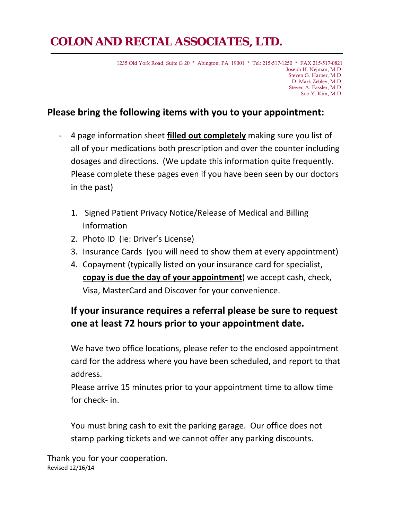# **COLON AND RECTAL ASSOCIATES, LTD.**

1235 Old York Road, Suite G 20 \* Abington, PA 19001 \* Tel: 215-517-1250 \* FAX 215-517-0821 Joseph H. Nejman, M.D. Steven G. Harper, M.D. D. Mark Zebley, M.D. Steven A. Fassler, M.D. Soo Y. Kim, M.D.

## **Please bring the following items with you to your appointment:**

- ‐ 4 page information sheet **filled out completely** making sure you list of all of your medications both prescription and over the counter including dosages and directions. (We update this information quite frequently. Please complete these pages even if you have been seen by our doctors in the past)
	- 1. Signed Patient Privacy Notice/Release of Medical and Billing Information
	- 2. Photo ID (ie: Driver's License)
	- 3. Insurance Cards (you will need to show them at every appointment)
	- 4. Copayment (typically listed on your insurance card for specialist, **copay is due the day of your appointment**) we accept cash, check, Visa, MasterCard and Discover for your convenience.

## **If your insurance requires a referral please be sure to request one at least 72 hours prior to your appointment date.**

We have two office locations, please refer to the enclosed appointment card for the address where you have been scheduled, and report to that address.

Please arrive 15 minutes prior to your appointment time to allow time for check‐ in.

You must bring cash to exit the parking garage. Our office does not stamp parking tickets and we cannot offer any parking discounts.

Thank you for your cooperation. Revised 12/16/14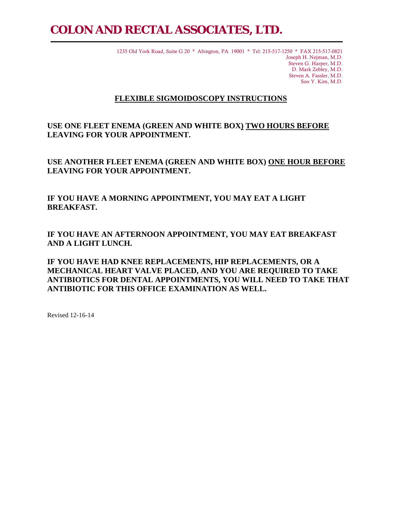# **COLON AND RECTAL ASSOCIATES, LTD.**

1235 Old York Road, Suite G 20 \* Abington, PA 19001 \* Tel: 215-517-1250 \* FAX 215-517-0821 Joseph H. Nejman, M.D. Steven G. Harper, M.D. D. Mark Zebley, M.D. Steven A. Fassler, M.D. Soo Y. Kim, M.D.

#### **FLEXIBLE SIGMOIDOSCOPY INSTRUCTIONS**

**USE ONE FLEET ENEMA (GREEN AND WHITE BOX) TWO HOURS BEFORE LEAVING FOR YOUR APPOINTMENT.** 

**USE ANOTHER FLEET ENEMA (GREEN AND WHITE BOX) ONE HOUR BEFORE LEAVING FOR YOUR APPOINTMENT.** 

**IF YOU HAVE A MORNING APPOINTMENT, YOU MAY EAT A LIGHT BREAKFAST.** 

**IF YOU HAVE AN AFTERNOON APPOINTMENT, YOU MAY EAT BREAKFAST AND A LIGHT LUNCH.** 

**IF YOU HAVE HAD KNEE REPLACEMENTS, HIP REPLACEMENTS, OR A MECHANICAL HEART VALVE PLACED, AND YOU ARE REQUIRED TO TAKE ANTIBIOTICS FOR DENTAL APPOINTMENTS, YOU WILL NEED TO TAKE THAT ANTIBIOTIC FOR THIS OFFICE EXAMINATION AS WELL.** 

Revised 12-16-14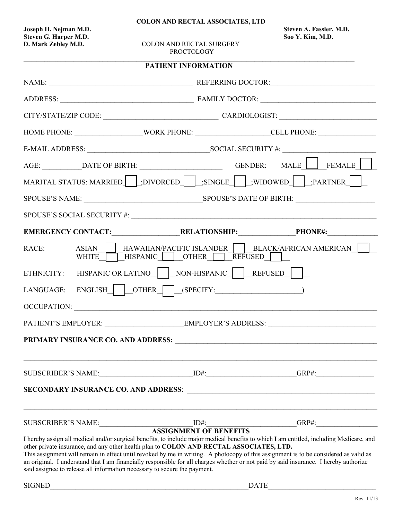**COLON AND RECTAL ASSOCIATES, LTD** 

**Joseph H. Nejman M.D. Steven A. Fassler, M.D. Steven G. Harper M.D. Soo Y. Kim, M.D.** 

**COLON AND RECTAL SURGERY** PROCTOLOGY

|                                                                                                                                                                                                                               |  | <b>PATIENT INFORMATION</b>                                                                                                                                                                                                                                                                                                                                                                                                                                                                                                                                                                       |  |
|-------------------------------------------------------------------------------------------------------------------------------------------------------------------------------------------------------------------------------|--|--------------------------------------------------------------------------------------------------------------------------------------------------------------------------------------------------------------------------------------------------------------------------------------------------------------------------------------------------------------------------------------------------------------------------------------------------------------------------------------------------------------------------------------------------------------------------------------------------|--|
| NAME: NAME: NAME: NAME: NAME: NAME: NAME: NAME: NAME: NAME: NAME: NAME: NAME: NAME: NAME: NAME: NAME: NAME: NAME: NAME: NAME: NAME: NAME: NAME: NAME: NAME: NAME: NAME: NAME: NAME: NAME: NAME: NAME: NAME: NAME: NAME: NAME: |  |                                                                                                                                                                                                                                                                                                                                                                                                                                                                                                                                                                                                  |  |
|                                                                                                                                                                                                                               |  |                                                                                                                                                                                                                                                                                                                                                                                                                                                                                                                                                                                                  |  |
|                                                                                                                                                                                                                               |  | CITY/STATE/ZIP CODE: CARDIOLOGIST:                                                                                                                                                                                                                                                                                                                                                                                                                                                                                                                                                               |  |
|                                                                                                                                                                                                                               |  | HOME PHONE: ______________________WORK PHONE: _______________________CELL PHONE: ___________________                                                                                                                                                                                                                                                                                                                                                                                                                                                                                             |  |
|                                                                                                                                                                                                                               |  |                                                                                                                                                                                                                                                                                                                                                                                                                                                                                                                                                                                                  |  |
|                                                                                                                                                                                                                               |  | AGE: ____________DATE OF BIRTH: ______________________________GENDER: MALE _________FEMALE _________                                                                                                                                                                                                                                                                                                                                                                                                                                                                                             |  |
|                                                                                                                                                                                                                               |  | MARITAL STATUS: MARRIED [.DIVORCED [.SINGLE [.WIDOWED] [.PARTNER ] [                                                                                                                                                                                                                                                                                                                                                                                                                                                                                                                             |  |
|                                                                                                                                                                                                                               |  |                                                                                                                                                                                                                                                                                                                                                                                                                                                                                                                                                                                                  |  |
|                                                                                                                                                                                                                               |  |                                                                                                                                                                                                                                                                                                                                                                                                                                                                                                                                                                                                  |  |
|                                                                                                                                                                                                                               |  |                                                                                                                                                                                                                                                                                                                                                                                                                                                                                                                                                                                                  |  |
| RACE:                                                                                                                                                                                                                         |  | ASIAN   HAWAIIAN/PACIFIC ISLANDER   BLACK/AFRICAN AMERICAN    <br>WHITE HISPANIC OTHER REFUSED                                                                                                                                                                                                                                                                                                                                                                                                                                                                                                   |  |
|                                                                                                                                                                                                                               |  | ETHNICITY: HISPANIC OR LATINO   NON-HISPANIC   REFUSED                                                                                                                                                                                                                                                                                                                                                                                                                                                                                                                                           |  |
|                                                                                                                                                                                                                               |  |                                                                                                                                                                                                                                                                                                                                                                                                                                                                                                                                                                                                  |  |
|                                                                                                                                                                                                                               |  | OCCUPATION:                                                                                                                                                                                                                                                                                                                                                                                                                                                                                                                                                                                      |  |
|                                                                                                                                                                                                                               |  |                                                                                                                                                                                                                                                                                                                                                                                                                                                                                                                                                                                                  |  |
|                                                                                                                                                                                                                               |  |                                                                                                                                                                                                                                                                                                                                                                                                                                                                                                                                                                                                  |  |
|                                                                                                                                                                                                                               |  |                                                                                                                                                                                                                                                                                                                                                                                                                                                                                                                                                                                                  |  |
|                                                                                                                                                                                                                               |  |                                                                                                                                                                                                                                                                                                                                                                                                                                                                                                                                                                                                  |  |
|                                                                                                                                                                                                                               |  | ,我们也不能在这里,我们也不能在这里的时候,我们也不能会不能会不能会不能会不能会不能会不能会不能会不能会不能会。""我们,我们也不能会不能会不能会不能会不能会不                                                                                                                                                                                                                                                                                                                                                                                                                                                                                                                 |  |
|                                                                                                                                                                                                                               |  | I hereby assign all medical and/or surgical benefits, to include major medical benefits to which I am entitled, including Medicare, and<br>other private insurance, and any other health plan to COLON AND RECTAL ASSOCIATES, LTD.<br>This assignment will remain in effect until revoked by me in writing. A photocopy of this assignment is to be considered as valid as<br>an original. I understand that I am financially responsible for all charges whether or not paid by said insurance. I hereby authorize<br>said assignee to release all information necessary to secure the payment. |  |
| <b>SIGNED</b><br><b>DATE</b>                                                                                                                                                                                                  |  |                                                                                                                                                                                                                                                                                                                                                                                                                                                                                                                                                                                                  |  |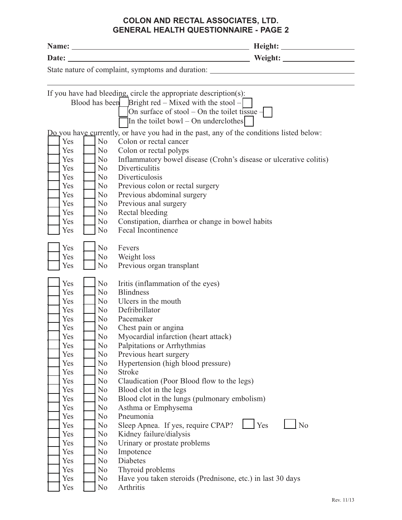### **COLON AND RECTAL ASSOCIATES, LTD. GENERAL HEALTH QUESTIONNAIRE - PAGE 2**

| If you have had bleeding, circle the appropriate description(s):                        |  |
|-----------------------------------------------------------------------------------------|--|
| Blood has been Bright red – Mixed with the stool –                                      |  |
| On surface of stool – On the toilet tissue $-$                                          |  |
| In the toilet bowl – On underclothes                                                    |  |
| Do you have currently, or have you had in the past, any of the conditions listed below: |  |
| Yes<br>N <sub>0</sub><br>Colon or rectal cancer                                         |  |
| Yes<br>N <sub>o</sub><br>Colon or rectal polyps                                         |  |
| Inflammatory bowel disease (Crohn's disease or ulcerative colitis)<br>Yes<br>No.        |  |
| Diverticulitis<br>Yes<br>No                                                             |  |
| Diverticulosis<br>Yes<br>N <sub>o</sub>                                                 |  |
| Yes<br>N <sub>o</sub><br>Previous colon or rectal surgery                               |  |
| Previous abdominal surgery<br>Yes<br>N <sub>o</sub>                                     |  |
| Previous anal surgery<br>Yes<br>N <sub>o</sub>                                          |  |
| Rectal bleeding<br>Yes<br>No                                                            |  |
| Constipation, diarrhea or change in bowel habits<br>Yes<br>N <sub>0</sub>               |  |
| Fecal Incontinence<br>Yes<br>No                                                         |  |
| Yes<br>N <sub>o</sub><br>Fevers                                                         |  |
| N <sub>0</sub><br>Weight loss<br>Yes                                                    |  |
| Previous organ transplant<br>Yes<br>N <sub>0</sub>                                      |  |
|                                                                                         |  |
| Yes<br>N <sub>0</sub><br>Iritis (inflammation of the eyes)                              |  |
| Yes<br><b>Blindness</b><br>N <sub>0</sub>                                               |  |
| Ulcers in the mouth<br>Yes<br>N <sub>o</sub>                                            |  |
| Defribrillator<br>Yes<br>N <sub>o</sub>                                                 |  |
| Pacemaker<br>Yes<br>N <sub>0</sub>                                                      |  |
| Chest pain or angina<br>Yes<br>No                                                       |  |
| Yes<br>No<br>Myocardial infarction (heart attack)                                       |  |
| N <sub>0</sub><br>Palpitations or Arrhythmias<br>Yes                                    |  |
| No<br>Previous heart surgery<br>Yes                                                     |  |
| Hypertension (high blood pressure)<br>Yes<br>No                                         |  |
| <b>Stroke</b><br>Yes<br>N <sub>0</sub>                                                  |  |
| Claudication (Poor Blood flow to the legs)<br>Yes<br>N <sub>0</sub>                     |  |
| Blood clot in the legs<br>Yes<br>No                                                     |  |
| Blood clot in the lungs (pulmonary embolism)<br>Yes<br>No                               |  |
| Yes<br>No<br>Asthma or Emphysema<br>Pneumonia                                           |  |
| Yes<br>No<br>$\vert$ Yes<br>N <sub>o</sub>                                              |  |
| Sleep Apnea. If yes, require CPAP?<br>Yes<br>No<br>Kidney failure/dialysis<br>Yes<br>No |  |
| Urinary or prostate problems<br>Yes<br>No                                               |  |
| Impotence<br>Yes<br>No                                                                  |  |
| Diabetes<br>Yes<br>No                                                                   |  |
| Thyroid problems<br>Yes<br>No                                                           |  |
| Have you taken steroids (Prednisone, etc.) in last 30 days<br>Yes<br>No                 |  |
| Arthritis<br>No<br>Yes                                                                  |  |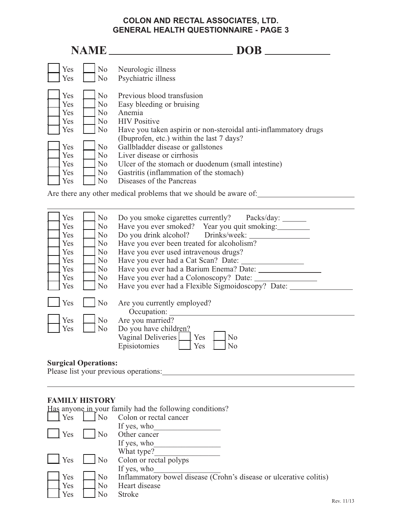### **COLON AND RECTAL ASSOCIATES, LTD. GENERAL HEALTH QUESTIONNAIRE - PAGE 3**

| <b>NAME</b>                                                 |                                                                                                      | <b>DOB</b>                                                                                                                                                                                                                                                                                                                                                                   |
|-------------------------------------------------------------|------------------------------------------------------------------------------------------------------|------------------------------------------------------------------------------------------------------------------------------------------------------------------------------------------------------------------------------------------------------------------------------------------------------------------------------------------------------------------------------|
| Yes<br>Yes                                                  | N <sub>o</sub><br>N <sub>0</sub>                                                                     | Neurologic illness<br>Psychiatric illness                                                                                                                                                                                                                                                                                                                                    |
| Yes<br>Yes<br>Yes<br>Yes<br>Yes<br>Yes<br>Yes<br>Yes<br>Yes | N <sub>o</sub><br>N <sub>0</sub><br>No<br>No.<br>N <sub>0</sub><br>N <sub>o</sub><br>No.<br>No<br>No | Previous blood transfusion<br>Easy bleeding or bruising<br>Anemia<br><b>HIV</b> Positive<br>Have you taken aspirin or non-steroidal anti-inflammatory drugs<br>(Ibuprofen, etc.) within the last 7 days?<br>Gallbladder disease or gallstones<br>Liver disease or cirrhosis<br>Ulcer of the stomach or duodenum (small intestine)<br>Gastritis (inflammation of the stomach) |
| Yes                                                         | No                                                                                                   | Diseases of the Pancreas                                                                                                                                                                                                                                                                                                                                                     |

Are there any other medical problems that we should be aware of:

| Yes | No             | Do you smoke cigarettes currently? Packs/day:     |
|-----|----------------|---------------------------------------------------|
| Yes | No             | Have you ever smoked? Year you quit smoking:      |
| Yes | No.            | Do you drink alcohol? Drinks/week:                |
| Yes | N <sub>0</sub> | Have you ever been treated for alcoholism?        |
| Yes | No             | Have you ever used intravenous drugs?             |
| Yes | No             | Have you ever had a Cat Scan? Date:               |
| Yes | No             | Have you ever had a Barium Enema? Date: _____     |
| Yes | No             | Have you ever had a Colonoscopy? Date:            |
| Yes | No             | Have you ever had a Flexible Sigmoidoscopy? Date: |
|     |                |                                                   |
| Yes | No             | Are you currently employed?                       |
|     |                | Occupation:                                       |
| Yes | No             | Are you married?                                  |
| Yes | N <sub>0</sub> | Do you have children?                             |
|     |                | Vaginal Deliveries<br>Yes<br>N <sub>0</sub>       |
|     |                | Episiotomies<br>Yes<br>No                         |
|     |                |                                                   |
|     |                |                                                   |

## **Surgical Operations:**

Please list your previous operations:

#### **FAMILY HISTORY**

|     |                | Has anyone in your family had the following conditions?            |
|-----|----------------|--------------------------------------------------------------------|
| Yes | No             | Colon or rectal cancer                                             |
|     |                | If yes, who                                                        |
| Yes | No             | Other cancer                                                       |
|     |                | If yes, who                                                        |
|     |                | What type?                                                         |
| Yes | N <sub>o</sub> | Colon or rectal polyps                                             |
|     |                | If yes, who                                                        |
| Yes | N <sub>o</sub> | Inflammatory bowel disease (Crohn's disease or ulcerative colitis) |
| Yes | No             | Heart disease                                                      |
| Yes | No             | <b>Stroke</b>                                                      |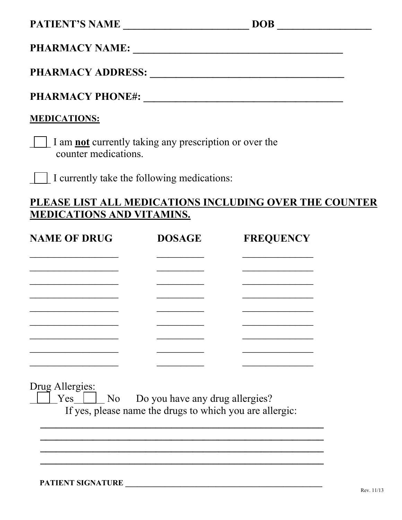**PHARMACY NAME: \_\_\_\_\_\_\_\_\_\_\_\_\_\_\_\_\_\_\_\_\_\_\_\_\_\_\_\_\_\_\_\_\_\_\_\_\_\_\_\_** 

**PHARMACY ADDRESS: \_\_\_\_\_\_\_\_\_\_\_\_\_\_\_\_\_\_\_\_\_\_\_\_\_\_\_\_\_\_\_\_\_\_\_\_\_** 

**PHARMACY PHONE#: \_\_\_\_\_\_\_\_\_\_\_\_\_\_\_\_\_\_\_\_\_\_\_\_\_\_\_\_\_\_\_\_\_\_\_\_\_\_** 

## **MEDICATIONS:**

\_\_\_\_ I am **not** currently taking any prescription or over the counter medications.

\_\_\_\_ I currently take the following medications:

## **PLEASE LIST ALL MEDICATIONS INCLUDING OVER THE COUNTER MEDICATIONS AND VITAMINS.**

| <b>NAME OF DRUG</b>                                  | <b>DOSAGE</b>                                            | <b>FREQUENCY</b> |
|------------------------------------------------------|----------------------------------------------------------|------------------|
|                                                      |                                                          |                  |
|                                                      |                                                          |                  |
|                                                      |                                                          |                  |
|                                                      |                                                          |                  |
|                                                      |                                                          |                  |
|                                                      |                                                          |                  |
|                                                      |                                                          |                  |
|                                                      |                                                          |                  |
| Drug Allergies:<br>$Yes \mid \mid$<br>N <sub>0</sub> | Do you have any drug allergies?                          |                  |
|                                                      | If yes, please name the drugs to which you are allergic: |                  |
|                                                      |                                                          |                  |
|                                                      |                                                          |                  |
|                                                      |                                                          |                  |

**PATIENT SIGNATURE \_\_\_\_\_\_\_\_\_\_\_\_\_\_\_\_\_\_\_\_\_\_\_\_\_\_\_\_\_\_\_\_\_\_\_\_\_\_\_\_\_\_\_\_\_\_\_\_\_\_**